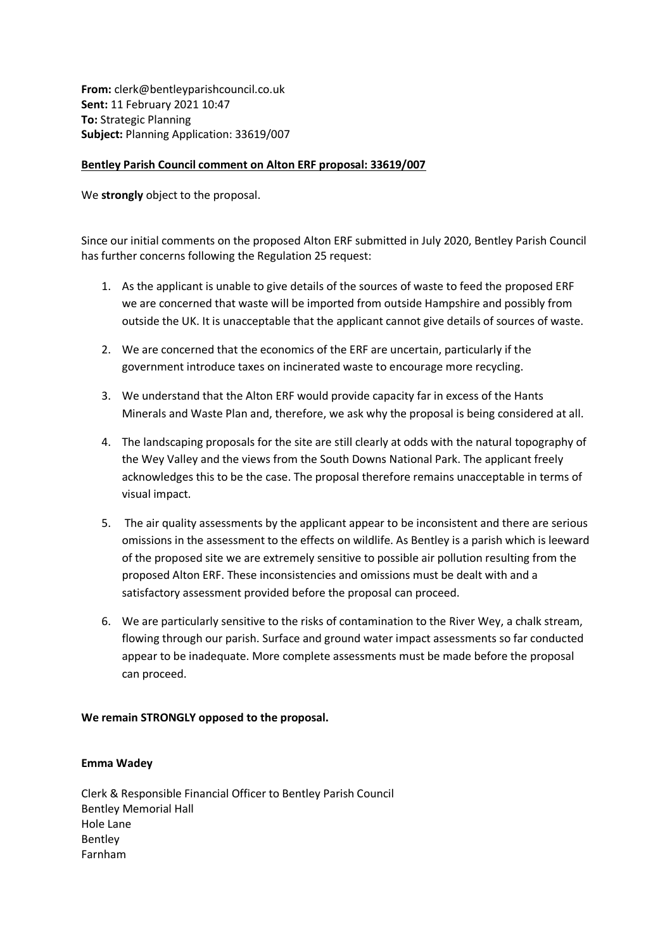**From:** clerk@bentleyparishcouncil.co.uk **Sent:** 11 February 2021 10:47 **To:** Strategic Planning **Subject:** Planning Application: 33619/007

## **Bentley Parish Council comment on Alton ERF proposal: 33619/007**

We **strongly** object to the proposal.

Since our initial comments on the proposed Alton ERF submitted in July 2020, Bentley Parish Council has further concerns following the Regulation 25 request:

- 1. As the applicant is unable to give details of the sources of waste to feed the proposed ERF we are concerned that waste will be imported from outside Hampshire and possibly from outside the UK. It is unacceptable that the applicant cannot give details of sources of waste.
- 2. We are concerned that the economics of the ERF are uncertain, particularly if the government introduce taxes on incinerated waste to encourage more recycling.
- 3. We understand that the Alton ERF would provide capacity far in excess of the Hants Minerals and Waste Plan and, therefore, we ask why the proposal is being considered at all.
- 4. The landscaping proposals for the site are still clearly at odds with the natural topography of the Wey Valley and the views from the South Downs National Park. The applicant freely acknowledges this to be the case. The proposal therefore remains unacceptable in terms of visual impact.
- 5. The air quality assessments by the applicant appear to be inconsistent and there are serious omissions in the assessment to the effects on wildlife. As Bentley is a parish which is leeward of the proposed site we are extremely sensitive to possible air pollution resulting from the proposed Alton ERF. These inconsistencies and omissions must be dealt with and a satisfactory assessment provided before the proposal can proceed.
- 6. We are particularly sensitive to the risks of contamination to the River Wey, a chalk stream, flowing through our parish. Surface and ground water impact assessments so far conducted appear to be inadequate. More complete assessments must be made before the proposal can proceed.

**We remain STRONGLY opposed to the proposal.**

## **Emma Wadey**

Clerk & Responsible Financial Officer to Bentley Parish Council Bentley Memorial Hall Hole Lane Bentley Farnham